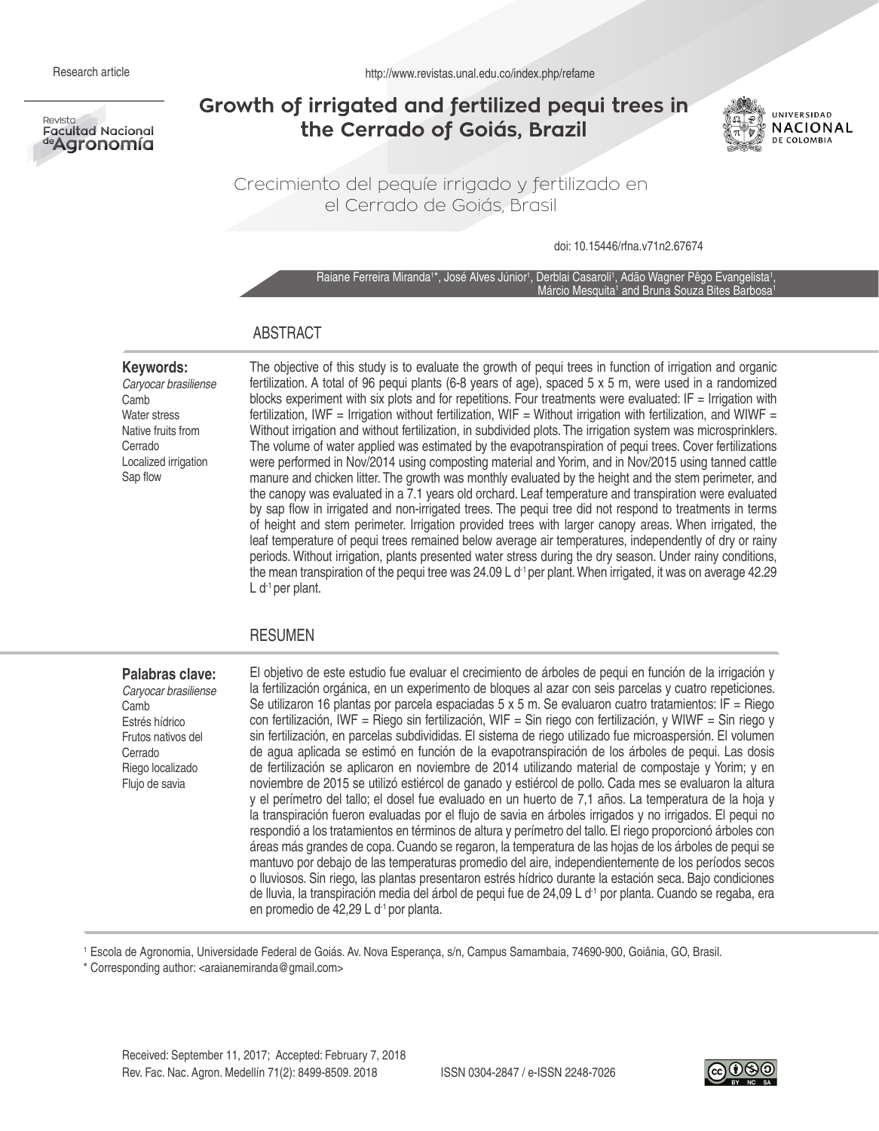Revista **Facultad Nacional** ªªAgronomía

# **Growth of irrigated and fertilized pequi trees in the Cerrado of Goiás, Brazil**



Crecimiento del pequíe irrigado y fertilizado en el Cerrado de Goiás, Brasil

doi: 10.15446/rfna.v71n2.67674

Raiane Ferreira Miranda<sup>1\*</sup>, José Alves Júnior<sup>1</sup>, Derblai Casaroli<sup>1</sup>, Adão Wagner Pêgo Evangelista<sup>1</sup>, Márcio Mesquita<sup>1</sup> and Bruna Souza Bites Barbosa<sup>1</sup>

### ABSTRACT

#### **Keywords:**

*Caryocar brasiliense* Camb Water stress Native fruits from Cerrado Localized irrigation Sap flow

The objective of this study is to evaluate the growth of pequi trees in function of irrigation and organic fertilization. A total of 96 pequi plants (6-8 years of age), spaced 5 x 5 m, were used in a randomized blocks experiment with six plots and for repetitions. Four treatments were evaluated: IF = Irrigation with fertilization, IWF = Irrigation without fertilization, WIF = Without irrigation with fertilization, and WIWF = Without irrigation and without fertilization, in subdivided plots. The irrigation system was microsprinklers. The volume of water applied was estimated by the evapotranspiration of pequi trees. Cover fertilizations were performed in Nov/2014 using composting material and Yorim, and in Nov/2015 using tanned cattle manure and chicken litter. The growth was monthly evaluated by the height and the stem perimeter, and the canopy was evaluated in a 7.1 years old orchard. Leaf temperature and transpiration were evaluated by sap flow in irrigated and non-irrigated trees. The pequi tree did not respond to treatments in terms of height and stem perimeter. Irrigation provided trees with larger canopy areas. When irrigated, the leaf temperature of pequi trees remained below average air temperatures, independently of dry or rainy periods. Without irrigation, plants presented water stress during the dry season. Under rainy conditions, the mean transpiration of the pequi tree was  $24.09 \, \text{L}$  d<sup>-1</sup> per plant. When irrigated, it was on average 42.29 L d-1 per plant.

### RESUMEN

### **Palabras clave:**

*Caryocar brasiliense* Camb Estrés hídrico Frutos nativos del Cerrado Riego localizado Flujo de savia

El objetivo de este estudio fue evaluar el crecimiento de árboles de pequi en función de la irrigación y la fertilización orgánica, en un experimento de bloques al azar con seis parcelas y cuatro repeticiones. Se utilizaron 16 plantas por parcela espaciadas 5 x 5 m. Se evaluaron cuatro tratamientos: IF = Riego con fertilización, IWF = Riego sin fertilización, WIF = Sin riego con fertilización, y WIWF = Sin riego y sin fertilización, en parcelas subdivididas. El sistema de riego utilizado fue microaspersión. El volumen de agua aplicada se estimó en función de la evapotranspiración de los árboles de pequi. Las dosis de fertilización se aplicaron en noviembre de 2014 utilizando material de compostaje y Yorim; y en noviembre de 2015 se utilizó estiércol de ganado y estiércol de pollo. Cada mes se evaluaron la altura y el perímetro del tallo; el dosel fue evaluado en un huerto de 7,1 años. La temperatura de la hoja y la transpiración fueron evaluadas por el flujo de savia en árboles irrigados y no irrigados. El pequi no respondió a los tratamientos en términos de altura y perímetro del tallo. El riego proporcionó árboles con áreas más grandes de copa. Cuando se regaron, la temperatura de las hojas de los árboles de pequi se mantuvo por debajo de las temperaturas promedio del aire, independientemente de los períodos secos o lluviosos. Sin riego, las plantas presentaron estrés hídrico durante la estación seca. Bajo condiciones de lluvia, la transpiración media del árbol de pequi fue de 24,09 L d-1 por planta. Cuando se regaba, era en promedio de 42,29 L d-1 por planta.

1 Escola de Agronomia, Universidade Federal de Goiás. Av. Nova Esperança, s/n, Campus Samambaia, 74690-900, Goiânia, GO, Brasil.

\* Corresponding author: <araianemiranda@gmail.com>

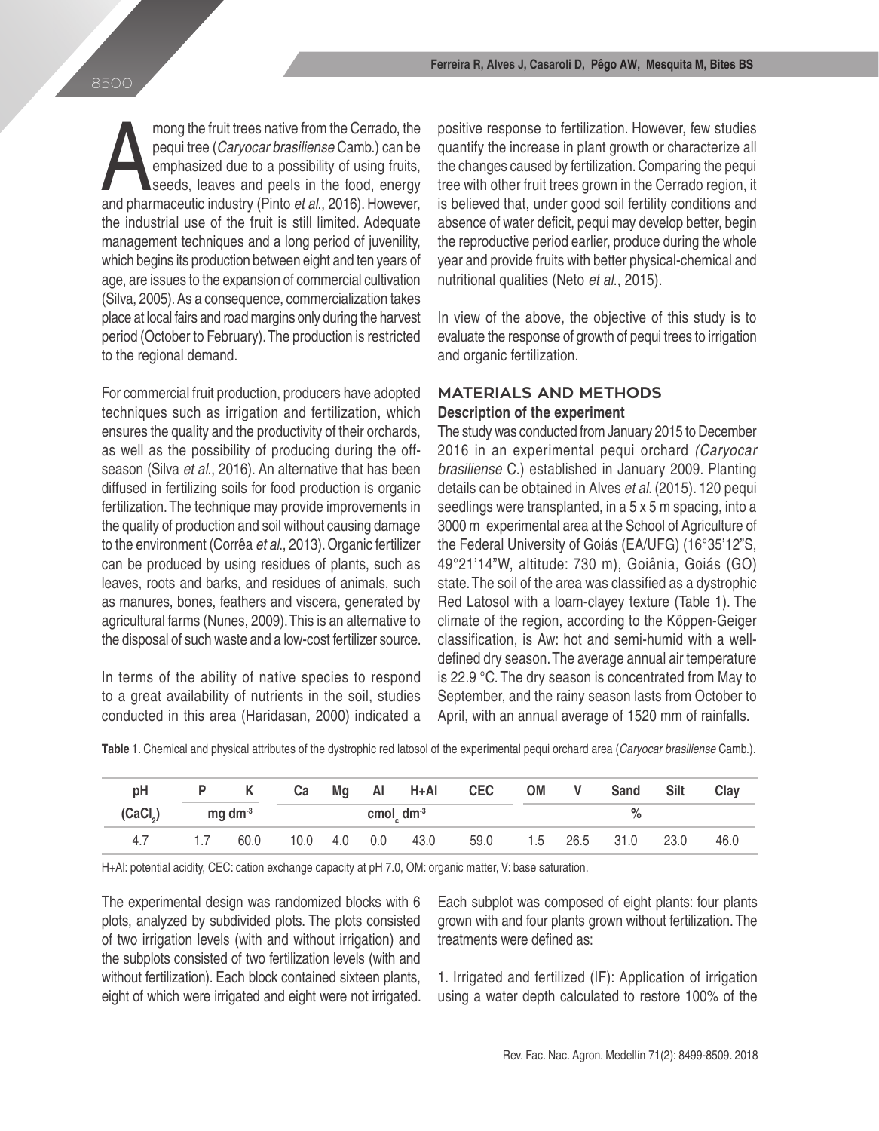mong the fruit trees native from the Cerrado, the pequi tree (*Caryocar brasiliense* Camb.) can be emphasized due to a possibility of using fruits, seeds, leaves and peels in the food, energy and pharmaceutic industry (Pin mong the fruit trees native from the Cerrado, the pequi tree (*Caryocar brasiliense* Camb.) can be emphasized due to a possibility of using fruits, seeds, leaves and peels in the food, energy the industrial use of the fruit is still limited. Adequate management techniques and a long period of juvenility, which begins its production between eight and ten years of age, are issues to the expansion of commercial cultivation (Silva, 2005). As a consequence, commercialization takes place at local fairs and road margins only during the harvest period (October to February). The production is restricted to the regional demand.

For commercial fruit production, producers have adopted techniques such as irrigation and fertilization, which ensures the quality and the productivity of their orchards, as well as the possibility of producing during the offseason (Silva *et al*., 2016). An alternative that has been diffused in fertilizing soils for food production is organic fertilization. The technique may provide improvements in the quality of production and soil without causing damage to the environment (Corrêa *et al*., 2013). Organic fertilizer can be produced by using residues of plants, such as leaves, roots and barks, and residues of animals, such as manures, bones, feathers and viscera, generated by agricultural farms (Nunes, 2009). This is an alternative to the disposal of such waste and a low-cost fertilizer source.

In terms of the ability of native species to respond to a great availability of nutrients in the soil, studies conducted in this area (Haridasan, 2000) indicated a positive response to fertilization. However, few studies quantify the increase in plant growth or characterize all the changes caused by fertilization. Comparing the pequi tree with other fruit trees grown in the Cerrado region, it is believed that, under good soil fertility conditions and absence of water deficit, pequi may develop better, begin the reproductive period earlier, produce during the whole year and provide fruits with better physical-chemical and nutritional qualities (Neto *et al*., 2015).

In view of the above, the objective of this study is to evaluate the response of growth of pequi trees to irrigation and organic fertilization.

## **MATERIALS AND METHODS Description of the experiment**

The study was conducted from January 2015 to December 2016 in an experimental pequi orchard *(Caryocar brasiliense* C.) established in January 2009. Planting details can be obtained in Alves *et al*. (2015). 120 pequi seedlings were transplanted, in a 5 x 5 m spacing, into a 3000 m experimental area at the School of Agriculture of the Federal University of Goiás (EA/UFG) (16°35'12"S, 49�21'14"W, altitude: 730 m), Goiânia, Goiás (GO) state. The soil of the area was classified as a dystrophic Red Latosol with a loam-clayey texture (Table 1). The climate of the region, according to the Köppen-Geiger classification, is Aw: hot and semi-humid with a welldefined dry season. The average annual air temperature is 22.9 �C. The dry season is concentrated from May to September, and the rainy season lasts from October to April, with an annual average of 1520 mm of rainfalls.

**Table 1**. Chemical and physical attributes of the dystrophic red latosol of the experimental pequi orchard area (*Caryocar brasiliense* Camb.).

| рH                   |     | P K             | <b>Ca</b> |                |                                    |      | Mg Al H+Al CEC OM | - V + | Sand               | Silt | Clav |
|----------------------|-----|-----------------|-----------|----------------|------------------------------------|------|-------------------|-------|--------------------|------|------|
| (CaCl <sub>2</sub> ) |     | $mg \, dm^{-3}$ |           |                | cmol <sub>c</sub> dm <sup>-3</sup> |      |                   |       |                    |      |      |
| 4.7                  | 1.7 | 60.0            |           | $10.0$ 4.0 0.0 |                                    | 43.0 | 59.0              |       | 1.5 26.5 31.0 23.0 |      | 46.0 |

H+Al: potential acidity, CEC: cation exchange capacity at pH 7.0, OM: organic matter, V: base saturation.

The experimental design was randomized blocks with 6 plots, analyzed by subdivided plots. The plots consisted of two irrigation levels (with and without irrigation) and the subplots consisted of two fertilization levels (with and without fertilization). Each block contained sixteen plants, eight of which were irrigated and eight were not irrigated. Each subplot was composed of eight plants: four plants grown with and four plants grown without fertilization. The treatments were defined as:

1. Irrigated and fertilized (IF): Application of irrigation using a water depth calculated to restore 100% of the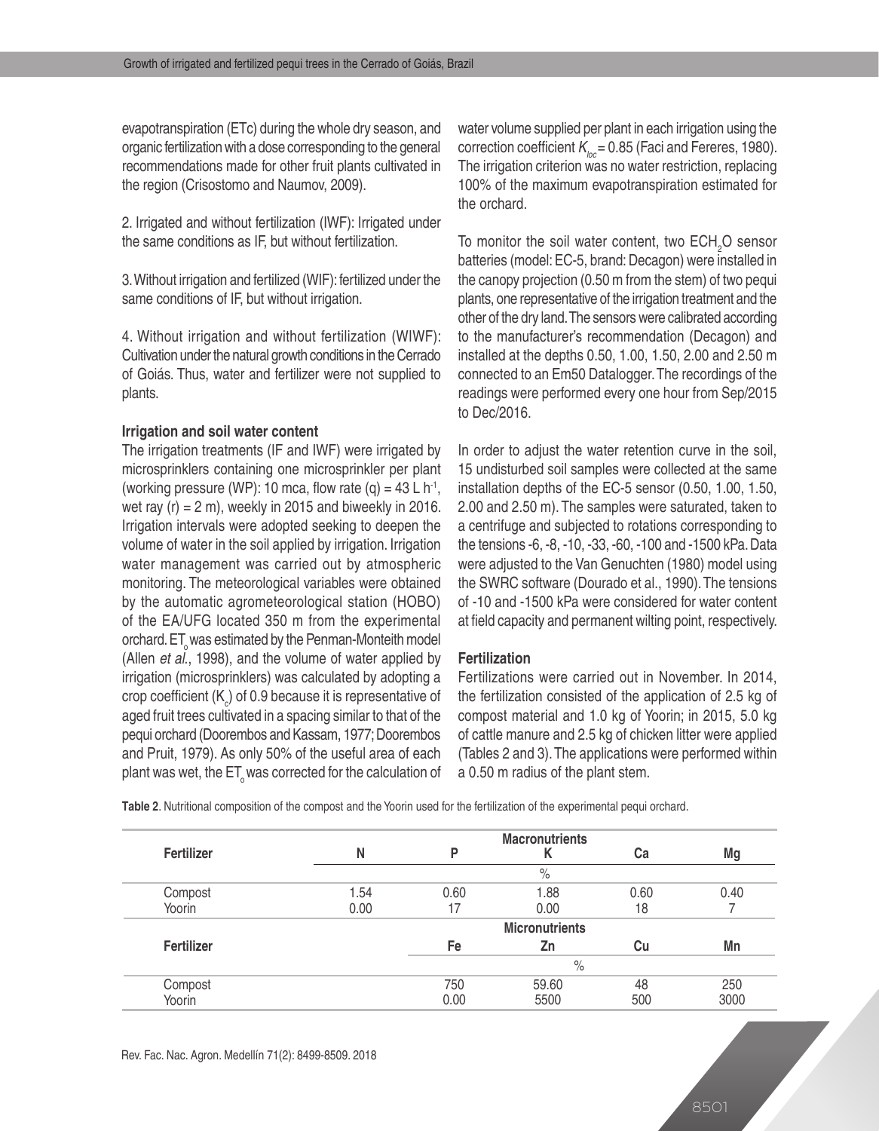evapotranspiration (ETc) during the whole dry season, and organic fertilization with a dose corresponding to the general recommendations made for other fruit plants cultivated in the region (Crisostomo and Naumov, 2009).

2. Irrigated and without fertilization (IWF): Irrigated under the same conditions as IF, but without fertilization.

3. Without irrigation and fertilized (WIF): fertilized under the same conditions of IF, but without irrigation.

4. Without irrigation and without fertilization (WIWF): Cultivation under the natural growth conditions in the Cerrado of Goiás. Thus, water and fertilizer were not supplied to plants.

### **Irrigation and soil water content**

The irrigation treatments (IF and IWF) were irrigated by microsprinklers containing one microsprinkler per plant (working pressure (WP): 10 mca, flow rate  $(q) = 43 L h^{-1}$ , wet ray  $(r) = 2$  m), weekly in 2015 and biweekly in 2016. Irrigation intervals were adopted seeking to deepen the volume of water in the soil applied by irrigation. Irrigation water management was carried out by atmospheric monitoring. The meteorological variables were obtained by the automatic agrometeorological station (HOBO) of the EA/UFG located 350 m from the experimental orchard.  $ET_{\alpha}$  was estimated by the Penman-Monteith model (Allen *et al*., 1998), and the volume of water applied by irrigation (microsprinklers) was calculated by adopting a crop coefficient (K<sub>c</sub>) of 0.9 because it is representative of aged fruit trees cultivated in a spacing similar to that of the pequi orchard (Doorembos and Kassam, 1977; Doorembos and Pruit, 1979). As only 50% of the useful area of each plant was wet, the  $ET_{\alpha}$  was corrected for the calculation of

water volume supplied per plant in each irrigation using the correction coefficient  $K_{\text{loc}} = 0.85$  (Faci and Fereres, 1980). The irrigation criterion was no water restriction, replacing 100% of the maximum evapotranspiration estimated for the orchard.

To monitor the soil water content, two  $ECH<sub>2</sub>O$  sensor batteries (model: EC-5, brand: Decagon) were installed in the canopy projection (0.50 m from the stem) of two pequi plants, one representative of the irrigation treatment and the other of the dry land. The sensors were calibrated according to the manufacturer's recommendation (Decagon) and installed at the depths 0.50, 1.00, 1.50, 2.00 and 2.50 m connected to an Em50 Datalogger. The recordings of the readings were performed every one hour from Sep/2015 to Dec/2016.

In order to adjust the water retention curve in the soil, 15 undisturbed soil samples were collected at the same installation depths of the EC-5 sensor (0.50, 1.00, 1.50, 2.00 and 2.50 m). The samples were saturated, taken to a centrifuge and subjected to rotations corresponding to the tensions -6, -8, -10, -33, -60, -100 and -1500 kPa. Data were adjusted to the Van Genuchten (1980) model using the SWRC software (Dourado et al., 1990). The tensions of -10 and -1500 kPa were considered for water content at field capacity and permanent wilting point, respectively.

### **Fertilization**

Fertilizations were carried out in November. In 2014, the fertilization consisted of the application of 2.5 kg of compost material and 1.0 kg of Yoorin; in 2015, 5.0 kg of cattle manure and 2.5 kg of chicken litter were applied (Tables 2 and 3). The applications were performed within a 0.50 m radius of the plant stem.

**Table 2**. Nutritional composition of the compost and the Yoorin used for the fertilization of the experimental pequi orchard.

|            |      |      | <b>Macronutrients</b> |      |      |  |  |  |
|------------|------|------|-----------------------|------|------|--|--|--|
| Fertilizer | N    | P    |                       | Ca   | Mg   |  |  |  |
|            | $\%$ |      |                       |      |      |  |  |  |
| Compost    | 1.54 | 0.60 | 1.88                  | 0.60 | 0.40 |  |  |  |
| Yoorin     | 0.00 | 7    | 0.00                  | 18   |      |  |  |  |
|            |      |      | <b>Micronutrients</b> |      |      |  |  |  |
| Fertilizer |      | Fe   | Zn                    | Cu   | Mn   |  |  |  |
|            |      | $\%$ |                       |      |      |  |  |  |
| Compost    |      | 750  | 59.60                 | 48   | 250  |  |  |  |
| Yoorin     |      | 0.00 | 5500                  | 500  | 3000 |  |  |  |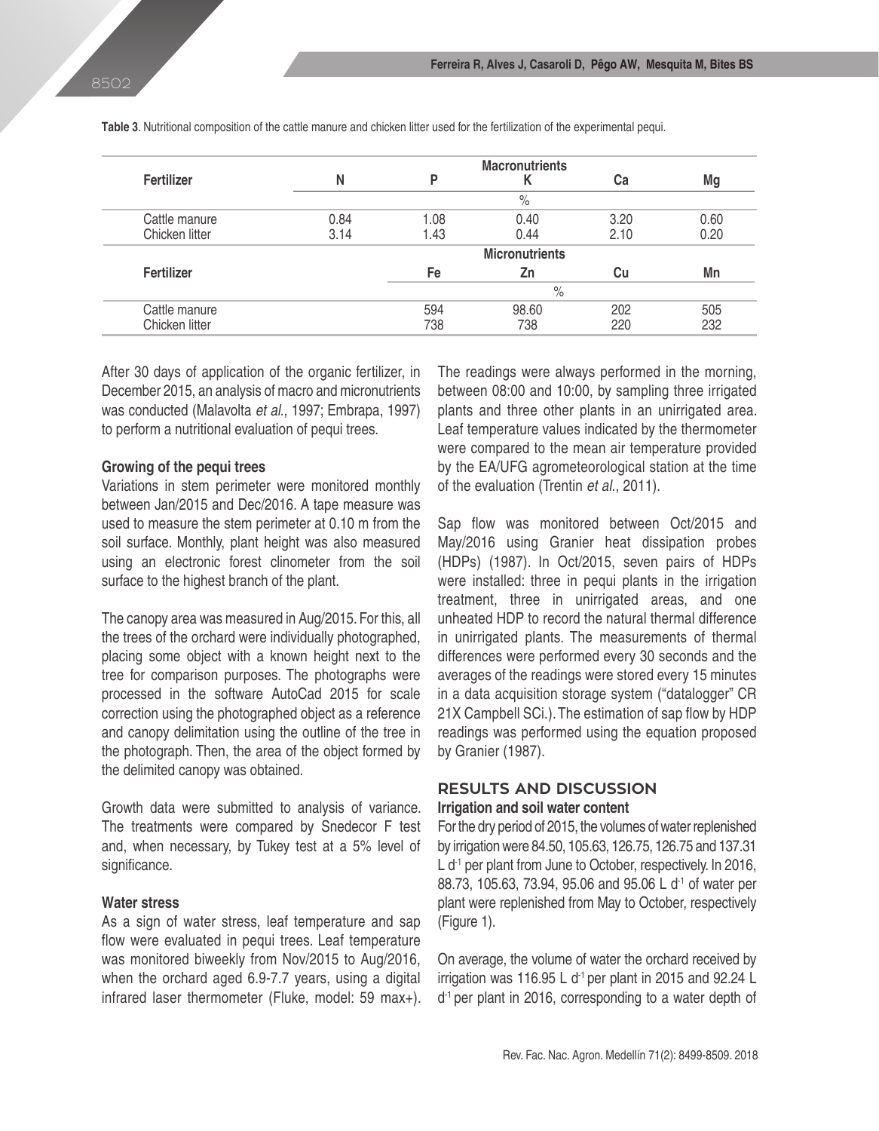|                |      |      | <b>Macronutrients</b> |      |      |  |  |  |
|----------------|------|------|-----------------------|------|------|--|--|--|
| Fertilizer     | N    | P    | Κ                     | Cа   | Mg   |  |  |  |
|                | $\%$ |      |                       |      |      |  |  |  |
| Cattle manure  | 0.84 | 1.08 | 0.40                  | 3.20 | 0.60 |  |  |  |
| Chicken litter | 3.14 | 1.43 | 0.44                  | 2.10 | 0.20 |  |  |  |
|                |      |      | <b>Micronutrients</b> |      |      |  |  |  |
| Fertilizer     |      | Fe   | Zn                    | Cu   | Mn   |  |  |  |
|                |      | $\%$ |                       |      |      |  |  |  |
| Cattle manure  |      | 594  | 98.60                 | 202  | 505  |  |  |  |
| Chicken litter |      | 738  | 738                   | 220  | 232  |  |  |  |

**Table 3**. Nutritional composition of the cattle manure and chicken litter used for the fertilization of the experimental pequi.

After 30 days of application of the organic fertilizer, in December 2015, an analysis of macro and micronutrients was conducted (Malavolta *et al*., 1997; Embrapa, 1997) to perform a nutritional evaluation of pequi trees.

#### **Growing of the pequi trees**

Variations in stem perimeter were monitored monthly between Jan/2015 and Dec/2016. A tape measure was used to measure the stem perimeter at 0.10 m from the soil surface. Monthly, plant height was also measured using an electronic forest clinometer from the soil surface to the highest branch of the plant.

The canopy area was measured in Aug/2015. For this, all the trees of the orchard were individually photographed, placing some object with a known height next to the tree for comparison purposes. The photographs were processed in the software AutoCad 2015 for scale correction using the photographed object as a reference and canopy delimitation using the outline of the tree in the photograph. Then, the area of the object formed by the delimited canopy was obtained.

Growth data were submitted to analysis of variance. The treatments were compared by Snedecor F test and, when necessary, by Tukey test at a 5% level of significance.

### **Water stress**

As a sign of water stress, leaf temperature and sap flow were evaluated in pequi trees. Leaf temperature was monitored biweekly from Nov/2015 to Aug/2016, when the orchard aged 6.9-7.7 years, using a digital infrared laser thermometer (Fluke, model: 59 max+). The readings were always performed in the morning, between 08:00 and 10:00, by sampling three irrigated plants and three other plants in an unirrigated area. Leaf temperature values indicated by the thermometer were compared to the mean air temperature provided by the EA/UFG agrometeorological station at the time of the evaluation (Trentin *et al*., 2011).

Sap flow was monitored between Oct/2015 and May/2016 using Granier heat dissipation probes (HDPs) (1987). In Oct/2015, seven pairs of HDPs were installed: three in pequi plants in the irrigation treatment, three in unirrigated areas, and one unheated HDP to record the natural thermal difference in unirrigated plants. The measurements of thermal differences were performed every 30 seconds and the averages of the readings were stored every 15 minutes in a data acquisition storage system ("datalogger" CR 21X Campbell SCi.). The estimation of sap flow by HDP readings was performed using the equation proposed by Granier (1987).

# **RESULTS AND DISCUSSION Irrigation and soil water content**

For the dry period of 2015, the volumes of water replenished by irrigation were 84.50, 105.63, 126.75, 126.75 and 137.31 L d<sup>-1</sup> per plant from June to October, respectively. In 2016, 88.73, 105.63, 73.94, 95.06 and 95.06 L d<sup>-1</sup> of water per plant were replenished from May to October, respectively (Figure 1).

On average, the volume of water the orchard received by irrigation was 116.95 L  $d<sup>-1</sup>$  per plant in 2015 and 92.24 L d<sup>-1</sup> per plant in 2016, corresponding to a water depth of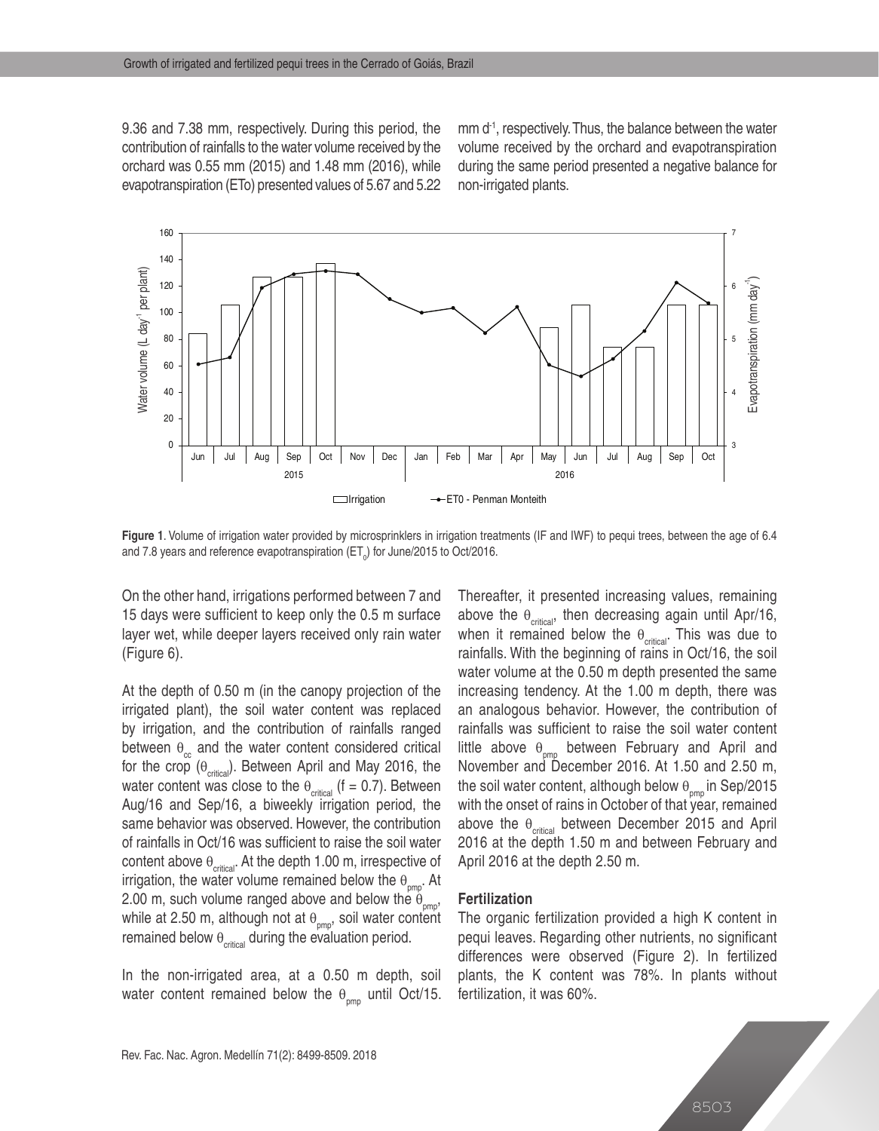9.36 and 7.38 mm, respectively. During this period, the contribution of rainfalls to the water volume received by the orchard was 0.55 mm (2015) and 1.48 mm (2016), while evapotranspiration (ETo) presented values of 5.67 and 5.22 mm d<sup>-1</sup>, respectively. Thus, the balance between the water volume received by the orchard and evapotranspiration during the same period presented a negative balance for non-irrigated plants.



**Figure 1**. Volume of irrigation water provided by microsprinklers in irrigation treatments (IF and IWF) to pequi trees, between the age of 6.4 and 7.8 years and reference evapotranspiration (ET<sub>0</sub>) for June/2015 to Oct/2016.

On the other hand, irrigations performed between 7 and 15 days were sufficient to keep only the 0.5 m surface layer wet, while deeper layers received only rain water (Figure 6).

At the depth of 0.50 m (in the canopy projection of the irrigated plant), the soil water content was replaced by irrigation, and the contribution of rainfalls ranged between  $\theta_{c}$  and the water content considered critical for the crop  $(\theta_{\text{critical}})$ . Between April and May 2016, the water content was close to the  $\theta_{critical}$  (f = 0.7). Between Aug/16 and Sep/16, a biweekly irrigation period, the same behavior was observed. However, the contribution of rainfalls in Oct/16 was sufficient to raise the soil water content above  $\theta_{\text{critical}}$ . At the depth 1.00 m, irrespective of irrigation, the water volume remained below the  $\theta_{\text{pmp}}$ . At 2.00 m, such volume ranged above and below the  $\dot{\theta}_{pmp}$ , while at 2.50 m, although not at  $\theta_{\text{pmp}}$ , soil water content remained below  $\theta_{\text{critical}}$  during the evaluation period.

In the non-irrigated area, at a 0.50 m depth, soil water content remained below the  $\theta_{\text{pmp}}$  until Oct/15. Thereafter, it presented increasing values, remaining above the  $\theta_{\text{critical}}$ , then decreasing again until Apr/16, when it remained below the  $\theta_{\text{critical}}$ . This was due to rainfalls. With the beginning of rains in Oct/16, the soil water volume at the 0.50 m depth presented the same increasing tendency. At the 1.00 m depth, there was an analogous behavior. However, the contribution of rainfalls was sufficient to raise the soil water content little above  $\theta_{\text{pmp}}$  between February and April and November and December 2016. At 1.50 and 2.50 m, the soil water content, although below  $\theta_{_{\sf pmp}}$ in Sep/2015 with the onset of rains in October of that year, remained above the  $\theta_{\text{critical}}$  between December 2015 and April 2016 at the depth 1.50 m and between February and April 2016 at the depth 2.50 m.

#### **Fertilization**

The organic fertilization provided a high K content in pequi leaves. Regarding other nutrients, no significant differences were observed (Figure 2). In fertilized plants, the K content was 78%. In plants without fertilization, it was 60%.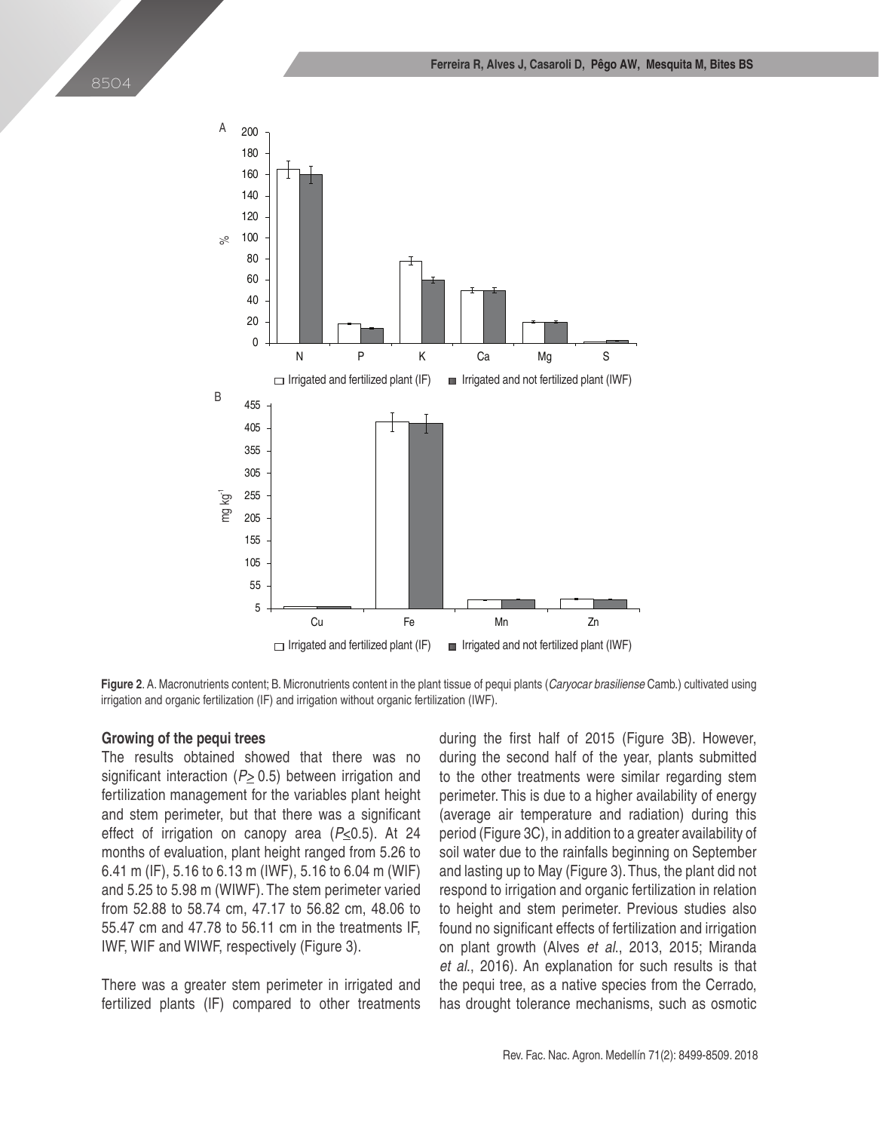



**Figure 2**. A. Macronutrients content; B. Micronutrients content in the plant tissue of pequi plants (*Caryocar brasiliense* Camb.) cultivated using irrigation and organic fertilization (IF) and irrigation without organic fertilization (IWF).

#### **Growing of the pequi trees**

The results obtained showed that there was no significant interaction (*P>* 0.5) between irrigation and fertilization management for the variables plant height and stem perimeter, but that there was a significant effect of irrigation on canopy area (*P*<0.5). At 24 months of evaluation, plant height ranged from 5.26 to 6.41 m (IF), 5.16 to 6.13 m (IWF), 5.16 to 6.04 m (WIF) and 5.25 to 5.98 m (WIWF). The stem perimeter varied from 52.88 to 58.74 cm, 47.17 to 56.82 cm, 48.06 to 55.47 cm and 47.78 to 56.11 cm in the treatments IF, IWF, WIF and WIWF, respectively (Figure 3).

There was a greater stem perimeter in irrigated and fertilized plants (IF) compared to other treatments during the first half of 2015 (Figure 3B). However, during the second half of the year, plants submitted to the other treatments were similar regarding stem perimeter. This is due to a higher availability of energy (average air temperature and radiation) during this period (Figure 3C), in addition to a greater availability of soil water due to the rainfalls beginning on September and lasting up to May (Figure 3). Thus, the plant did not respond to irrigation and organic fertilization in relation to height and stem perimeter. Previous studies also found no significant effects of fertilization and irrigation on plant growth (Alves *et al*., 2013, 2015; Miranda *et al*., 2016). An explanation for such results is that the pequi tree, as a native species from the Cerrado, has drought tolerance mechanisms, such as osmotic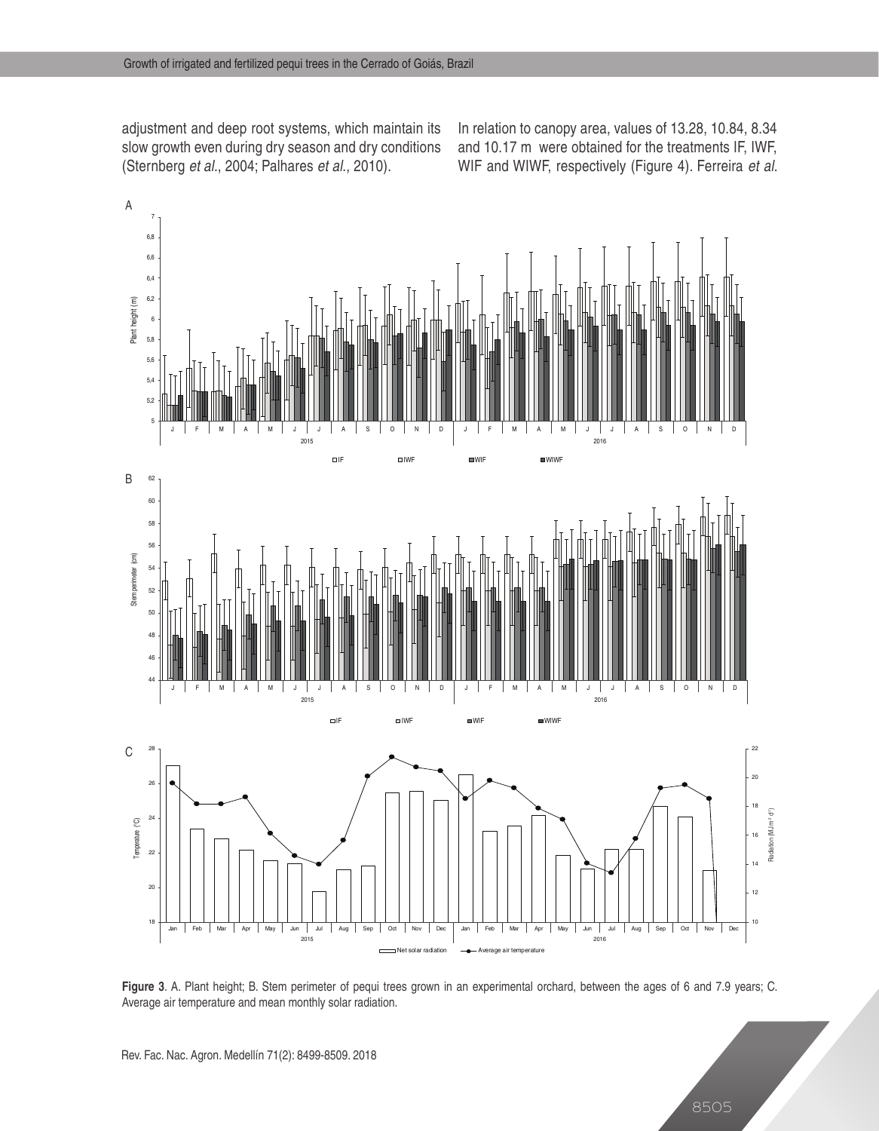adjustment and deep root systems, which maintain its slow growth even during dry season and dry conditions (Sternberg *et al*., 2004; Palhares *et al*., 2010).

In relation to canopy area, values of 13.28, 10.84, 8.34 and 10.17 m were obtained for the treatments IF, IWF, WIF and WIWF, respectively (Figure 4). Ferreira *et al*.



**Figure 3**. A. Plant height; B. Stem perimeter of pequi trees grown in an experimental orchard, between the ages of 6 and 7.9 years; C. Average air temperature and mean monthly solar radiation.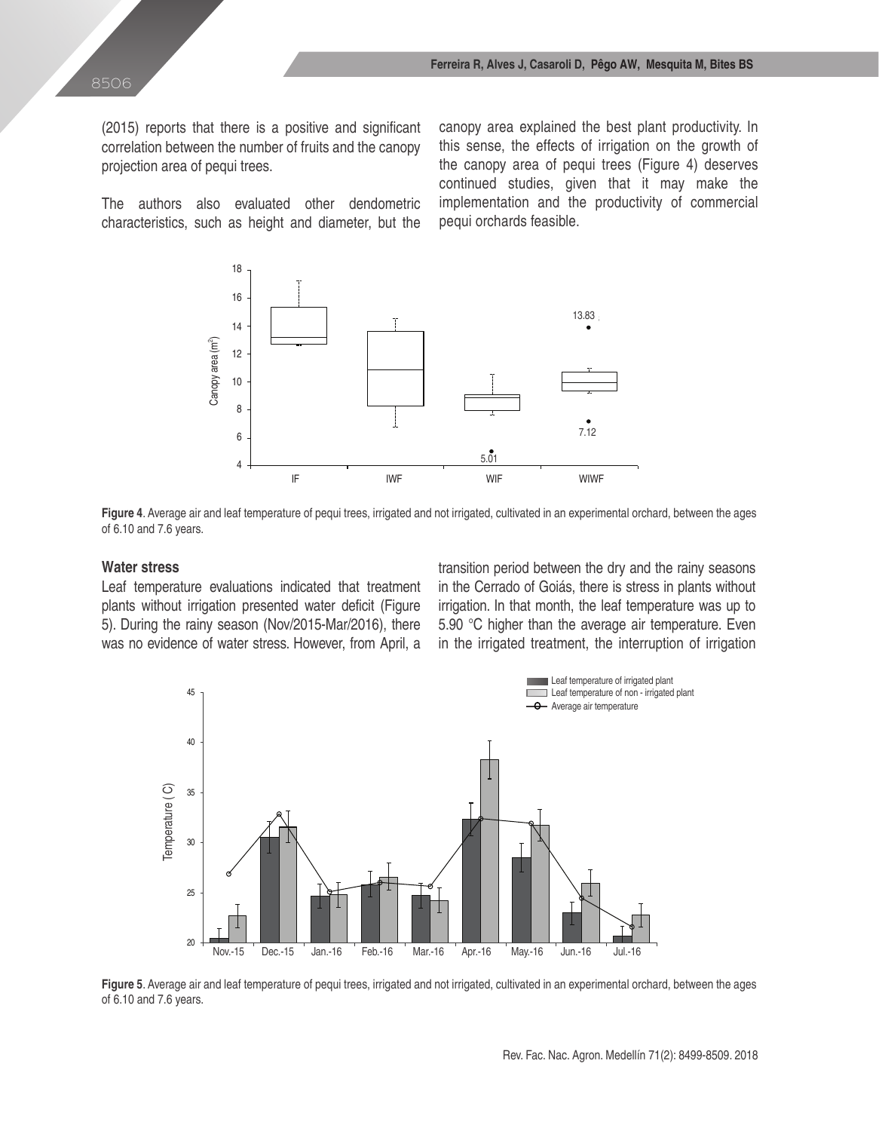(2015) reports that there is a positive and significant correlation between the number of fruits and the canopy projection area of pequi trees.

The authors also evaluated other dendometric characteristics, such as height and diameter, but the canopy area explained the best plant productivity. In this sense, the effects of irrigation on the growth of the canopy area of pequi trees (Figure 4) deserves continued studies, given that it may make the implementation and the productivity of commercial pequi orchards feasible.





#### **Water stress**

Leaf temperature evaluations indicated that treatment plants without irrigation presented water deficit (Figure 5). During the rainy season (Nov/2015-Mar/2016), there was no evidence of water stress. However, from April, a

transition period between the dry and the rainy seasons in the Cerrado of Goiás, there is stress in plants without irrigation. In that month, the leaf temperature was up to 5.90 °C higher than the average air temperature. Even in the irrigated treatment, the interruption of irrigation



**Figure 5**. Average air and leaf temperature of pequi trees, irrigated and not irrigated, cultivated in an experimental orchard, between the ages of 6.10 and 7.6 years.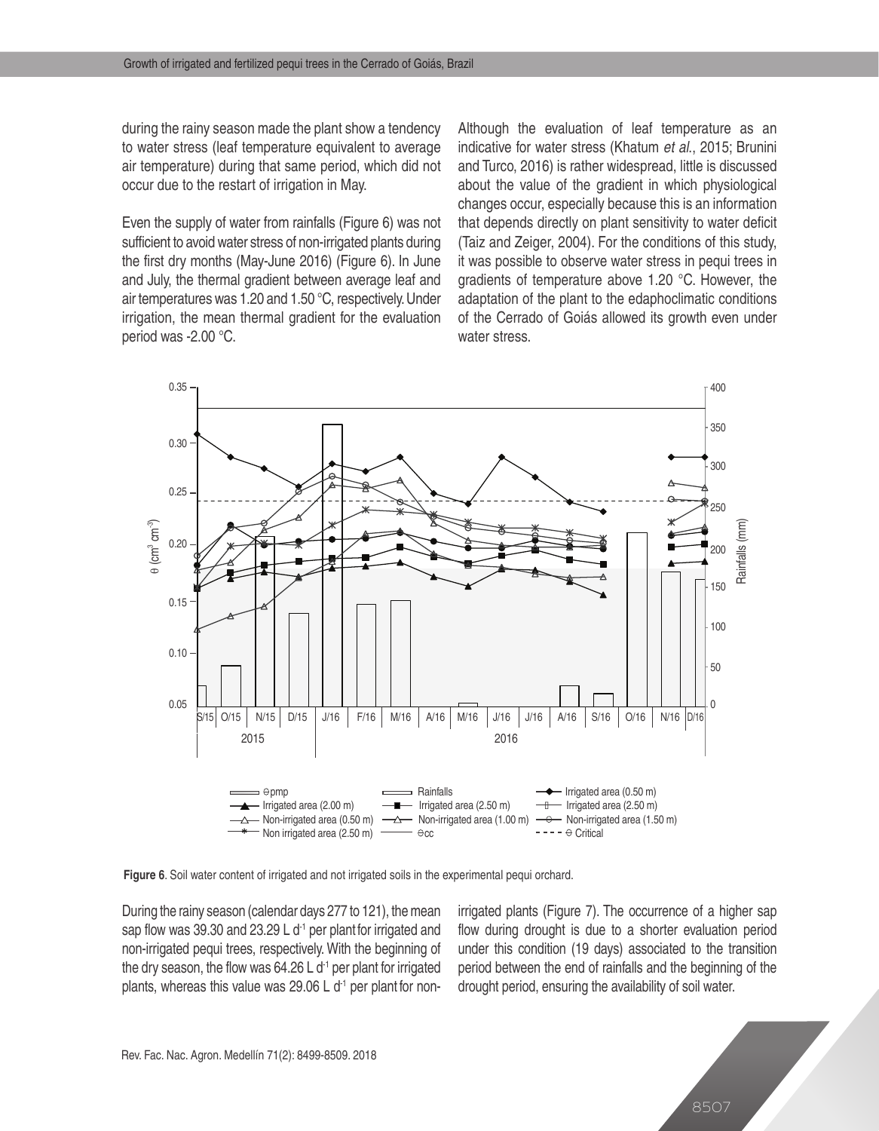during the rainy season made the plant show a tendency to water stress (leaf temperature equivalent to average air temperature) during that same period, which did not occur due to the restart of irrigation in May.

Even the supply of water from rainfalls (Figure 6) was not sufficient to avoid water stress of non-irrigated plants during the first dry months (May-June 2016) (Figure 6). In June and July, the thermal gradient between average leaf and air temperatures was 1.20 and 1.50 °C, respectively. Under irrigation, the mean thermal gradient for the evaluation period was -2.00 °C.

Although the evaluation of leaf temperature as an indicative for water stress (Khatum *et al*., 2015; Brunini and Turco, 2016) is rather widespread, little is discussed about the value of the gradient in which physiological changes occur, especially because this is an information that depends directly on plant sensitivity to water deficit (Taiz and Zeiger, 2004). For the conditions of this study, it was possible to observe water stress in pequi trees in gradients of temperature above 1.20 °C. However, the adaptation of the plant to the edaphoclimatic conditions of the Cerrado of Goiás allowed its growth even under water stress.



**Figure 6**. Soil water content of irrigated and not irrigated soils in the experimental pequi orchard.

During the rainy season (calendar days 277 to 121), the mean sap flow was 39.30 and 23.29 L  $d<sup>-1</sup>$  per plant for irrigated and non-irrigated pequi trees, respectively. With the beginning of the dry season, the flow was  $64.26 \, \text{L}$  d<sup>-1</sup> per plant for irrigated plants, whereas this value was 29.06 L  $d<sup>-1</sup>$  per plant for nonirrigated plants (Figure 7). The occurrence of a higher sap flow during drought is due to a shorter evaluation period under this condition (19 days) associated to the transition period between the end of rainfalls and the beginning of the drought period, ensuring the availability of soil water.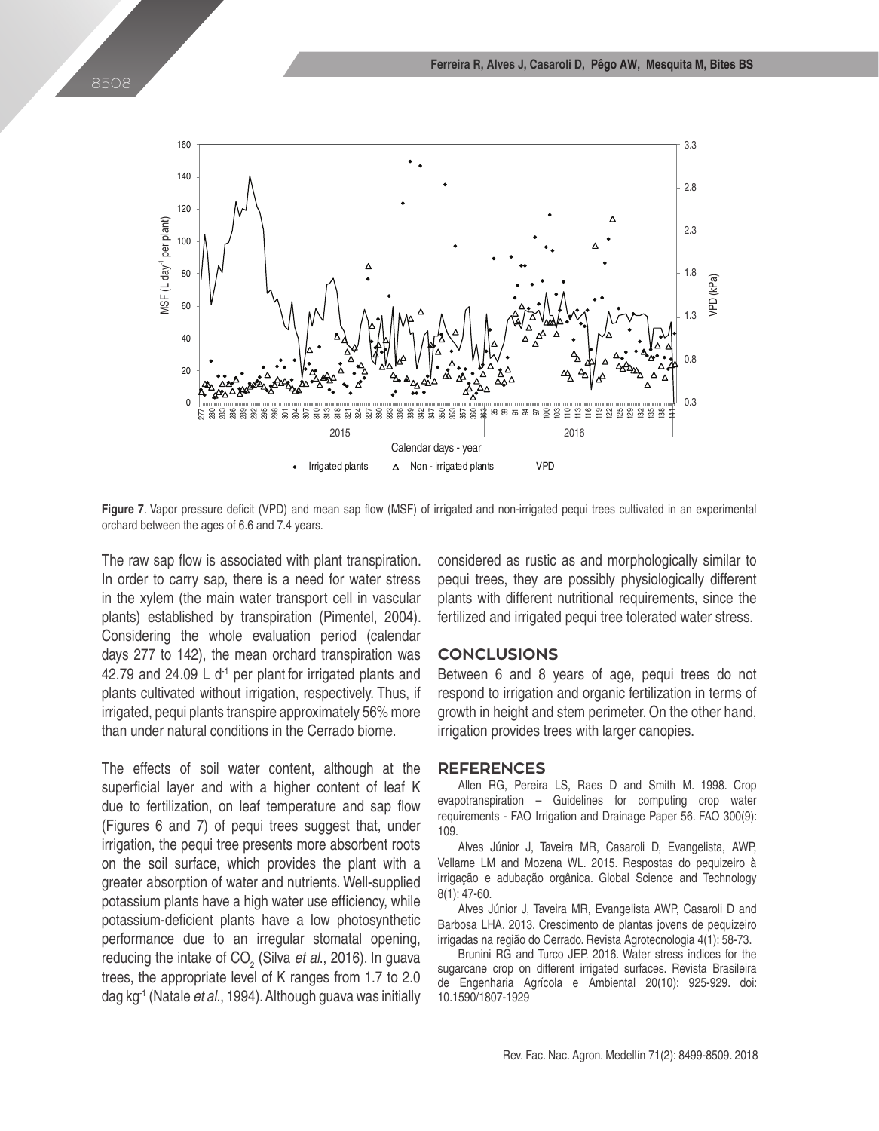

Figure 7. Vapor pressure deficit (VPD) and mean sap flow (MSF) of irrigated and non-irrigated pequi trees cultivated in an experimental orchard between the ages of 6.6 and 7.4 years.

The raw sap flow is associated with plant transpiration. In order to carry sap, there is a need for water stress in the xylem (the main water transport cell in vascular plants) established by transpiration (Pimentel, 2004). Considering the whole evaluation period (calendar days 277 to 142), the mean orchard transpiration was 42.79 and 24.09 L  $d<sup>-1</sup>$  per plant for irrigated plants and plants cultivated without irrigation, respectively. Thus, if irrigated, pequi plants transpire approximately 56% more than under natural conditions in the Cerrado biome.

The effects of soil water content, although at the superficial layer and with a higher content of leaf K due to fertilization, on leaf temperature and sap flow (Figures 6 and 7) of pequi trees suggest that, under irrigation, the pequi tree presents more absorbent roots on the soil surface, which provides the plant with a greater absorption of water and nutrients. Well-supplied potassium plants have a high water use efficiency, while potassium-deficient plants have a low photosynthetic performance due to an irregular stomatal opening, reducing the intake of CO<sub>2</sub> (Silva *et al.*, 2016). In guava trees, the appropriate level of K ranges from 1.7 to 2.0 dag kg-1 (Natale *et al*., 1994). Although guava was initially

considered as rustic as and morphologically similar to pequi trees, they are possibly physiologically different plants with different nutritional requirements, since the fertilized and irrigated pequi tree tolerated water stress.

#### **CONCLUSIONS**

Between 6 and 8 years of age, pequi trees do not respond to irrigation and organic fertilization in terms of growth in height and stem perimeter. On the other hand, irrigation provides trees with larger canopies.

#### **REFERENCES**

Allen RG, Pereira LS, Raes D and Smith M. 1998. Crop evapotranspiration – Guidelines for computing crop water requirements - FAO Irrigation and Drainage Paper 56. FAO 300(9): 109.

Alves Júnior J, Taveira MR, Casaroli D, Evangelista, AWP, Vellame LM and Mozena WL. 2015. Respostas do pequizeiro à irrigação e adubação orgânica. Global Science and Technology 8(1): 47-60.

Alves Júnior J, Taveira MR, Evangelista AWP, Casaroli D and Barbosa LHA. 2013. Crescimento de plantas jovens de pequizeiro irrigadas na região do Cerrado. Revista Agrotecnologia 4(1): 58-73.

Brunini RG and Turco JEP. 2016. Water stress indices for the sugarcane crop on different irrigated surfaces. Revista Brasileira de Engenharia Agrícola e Ambiental 20(10): 925-929. doi: 10.1590/1807-1929